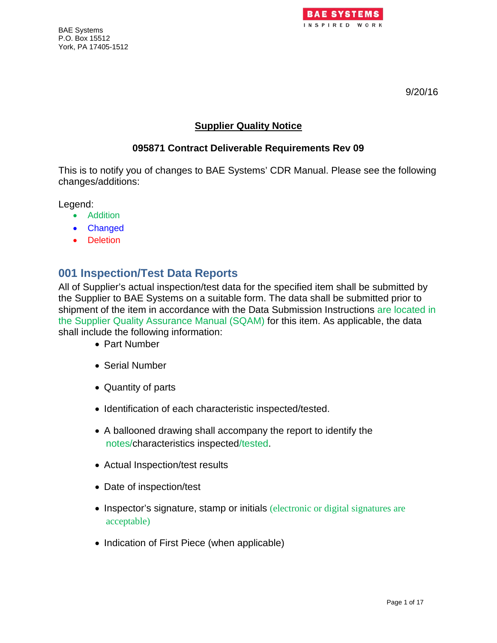



9/20/16

#### **Supplier Quality Notice**

#### **095871 Contract Deliverable Requirements Rev 09**

This is to notify you of changes to BAE Systems' CDR Manual. Please see the following changes/additions:

Legend:

- Addition
- Changed
- Deletion

## **001 Inspection/Test Data Reports**

All of Supplier's actual inspection/test data for the specified item shall be submitted by the Supplier to BAE Systems on a suitable form. The data shall be submitted prior to shipment of the item in accordance with the Data Submission Instructions are located in the Supplier Quality Assurance Manual (SQAM) for this item. As applicable, the data shall include the following information:

- Part Number
- Serial Number
- Quantity of parts
- Identification of each characteristic inspected/tested.
- A ballooned drawing shall accompany the report to identify the notes/characteristics inspected/tested.
- Actual Inspection/test results
- Date of inspection/test
- Inspector's signature, stamp or initials (electronic or digital signatures are acceptable)
- Indication of First Piece (when applicable)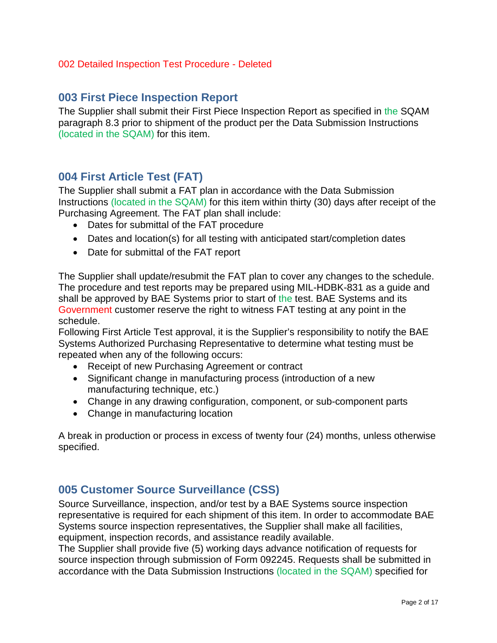#### 002 Detailed Inspection Test Procedure - Deleted

### **003 First Piece Inspection Report**

The Supplier shall submit their First Piece Inspection Report as specified in the SQAM paragraph 8.3 prior to shipment of the product per the Data Submission Instructions (located in the SQAM) for this item.

## **004 First Article Test (FAT)**

The Supplier shall submit a FAT plan in accordance with the Data Submission Instructions (located in the SQAM) for this item within thirty (30) days after receipt of the Purchasing Agreement. The FAT plan shall include:

- Dates for submittal of the FAT procedure
- Dates and location(s) for all testing with anticipated start/completion dates
- Date for submittal of the FAT report

The Supplier shall update/resubmit the FAT plan to cover any changes to the schedule. The procedure and test reports may be prepared using MIL-HDBK-831 as a guide and shall be approved by BAE Systems prior to start of the test. BAE Systems and its Government customer reserve the right to witness FAT testing at any point in the schedule.

Following First Article Test approval, it is the Supplier's responsibility to notify the BAE Systems Authorized Purchasing Representative to determine what testing must be repeated when any of the following occurs:

- Receipt of new Purchasing Agreement or contract
- Significant change in manufacturing process (introduction of a new manufacturing technique, etc.)
- Change in any drawing configuration, component, or sub-component parts
- Change in manufacturing location

A break in production or process in excess of twenty four (24) months, unless otherwise specified.

### **005 Customer Source Surveillance (CSS)**

Source Surveillance, inspection, and/or test by a BAE Systems source inspection representative is required for each shipment of this item. In order to accommodate BAE Systems source inspection representatives, the Supplier shall make all facilities, equipment, inspection records, and assistance readily available.

The Supplier shall provide five (5) working days advance notification of requests for source inspection through submission of Form 092245. Requests shall be submitted in accordance with the Data Submission Instructions (located in the SQAM) specified for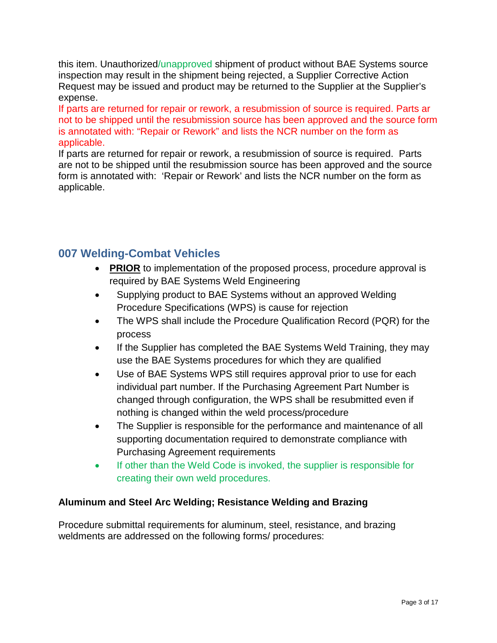this item. Unauthorized/unapproved shipment of product without BAE Systems source inspection may result in the shipment being rejected, a Supplier Corrective Action Request may be issued and product may be returned to the Supplier at the Supplier's expense.

If parts are returned for repair or rework, a resubmission of source is required. Parts ar not to be shipped until the resubmission source has been approved and the source form is annotated with: "Repair or Rework" and lists the NCR number on the form as applicable.

If parts are returned for repair or rework, a resubmission of source is required. Parts are not to be shipped until the resubmission source has been approved and the source form is annotated with: 'Repair or Rework' and lists the NCR number on the form as applicable.

## **007 Welding-Combat Vehicles**

- **PRIOR** to implementation of the proposed process, procedure approval is required by BAE Systems Weld Engineering
- Supplying product to BAE Systems without an approved Welding Procedure Specifications (WPS) is cause for rejection
- The WPS shall include the Procedure Qualification Record (PQR) for the process
- If the Supplier has completed the BAE Systems Weld Training, they may use the BAE Systems procedures for which they are qualified
- Use of BAE Systems WPS still requires approval prior to use for each individual part number. If the Purchasing Agreement Part Number is changed through configuration, the WPS shall be resubmitted even if nothing is changed within the weld process/procedure
- The Supplier is responsible for the performance and maintenance of all supporting documentation required to demonstrate compliance with Purchasing Agreement requirements
- If other than the Weld Code is invoked, the supplier is responsible for creating their own weld procedures.

### **Aluminum and Steel Arc Welding; Resistance Welding and Brazing**

Procedure submittal requirements for aluminum, steel, resistance, and brazing weldments are addressed on the following forms/ procedures: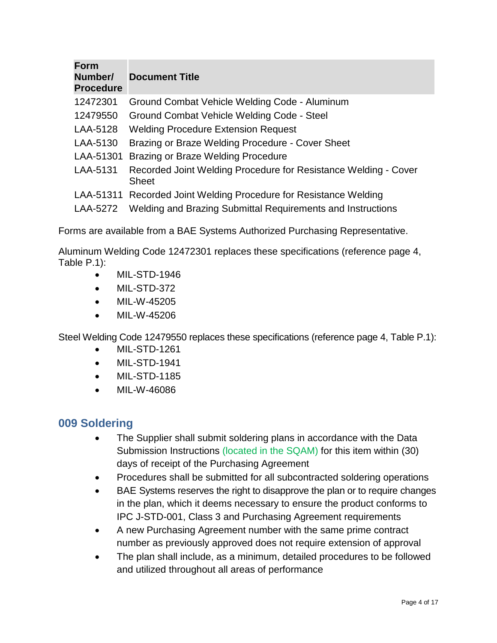| <b>Form</b><br>Number/<br><b>Procedure</b> | <b>Document Title</b>                                                                                                            |
|--------------------------------------------|----------------------------------------------------------------------------------------------------------------------------------|
| 12472301                                   | Ground Combat Vehicle Welding Code - Aluminum                                                                                    |
| 12479550                                   | Ground Combat Vehicle Welding Code - Steel                                                                                       |
| LAA-5128                                   | <b>Welding Procedure Extension Request</b>                                                                                       |
| LAA-5130                                   | Brazing or Braze Welding Procedure - Cover Sheet                                                                                 |
| LAA-51301                                  | <b>Brazing or Braze Welding Procedure</b>                                                                                        |
| LAA-5131                                   | Recorded Joint Welding Procedure for Resistance Welding - Cover<br><b>Sheet</b>                                                  |
| LAA-5272                                   | LAA-51311 Recorded Joint Welding Procedure for Resistance Welding<br>Welding and Brazing Submittal Requirements and Instructions |

Forms are available from a BAE Systems Authorized Purchasing Representative.

Aluminum Welding Code 12472301 replaces these specifications (reference page 4, Table P.1):

- MIL-STD-1946
- MIL-STD-372
- MIL-W-45205
- MIL-W-45206

Steel Welding Code 12479550 replaces these specifications (reference page 4, Table P.1):

- MIL-STD-1261
- MIL-STD-1941
- MIL-STD-1185
- MIL-W-46086

## **009 Soldering**

- The Supplier shall submit soldering plans in accordance with the Data Submission Instructions (located in the SQAM) for this item within (30) days of receipt of the Purchasing Agreement
- Procedures shall be submitted for all subcontracted soldering operations
- BAE Systems reserves the right to disapprove the plan or to require changes in the plan, which it deems necessary to ensure the product conforms to IPC J-STD-001, Class 3 and Purchasing Agreement requirements
- A new Purchasing Agreement number with the same prime contract number as previously approved does not require extension of approval
- The plan shall include, as a minimum, detailed procedures to be followed and utilized throughout all areas of performance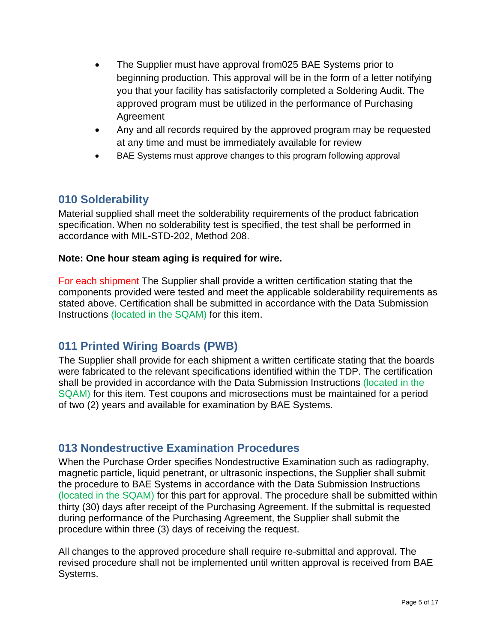- The Supplier must have approval from 025 BAE Systems prior to beginning production. This approval will be in the form of a letter notifying you that your facility has satisfactorily completed a Soldering Audit. The approved program must be utilized in the performance of Purchasing Agreement
- Any and all records required by the approved program may be requested at any time and must be immediately available for review
- BAE Systems must approve changes to this program following approval

## **010 Solderability**

Material supplied shall meet the solderability requirements of the product fabrication specification. When no solderability test is specified, the test shall be performed in accordance with MIL-STD-202, Method 208.

#### **Note: One hour steam aging is required for wire.**

For each shipment The Supplier shall provide a written certification stating that the components provided were tested and meet the applicable solderability requirements as stated above. Certification shall be submitted in accordance with the Data Submission Instructions (located in the SQAM) for this item.

## **011 Printed Wiring Boards (PWB)**

The Supplier shall provide for each shipment a written certificate stating that the boards were fabricated to the relevant specifications identified within the TDP. The certification shall be provided in accordance with the Data Submission Instructions (located in the SQAM) for this item. Test coupons and microsections must be maintained for a period of two (2) years and available for examination by BAE Systems.

### **013 Nondestructive Examination Procedures**

When the Purchase Order specifies Nondestructive Examination such as radiography, magnetic particle, liquid penetrant, or ultrasonic inspections, the Supplier shall submit the procedure to BAE Systems in accordance with the Data Submission Instructions (located in the SQAM) for this part for approval. The procedure shall be submitted within thirty (30) days after receipt of the Purchasing Agreement. If the submittal is requested during performance of the Purchasing Agreement, the Supplier shall submit the procedure within three (3) days of receiving the request.

All changes to the approved procedure shall require re-submittal and approval. The revised procedure shall not be implemented until written approval is received from BAE Systems.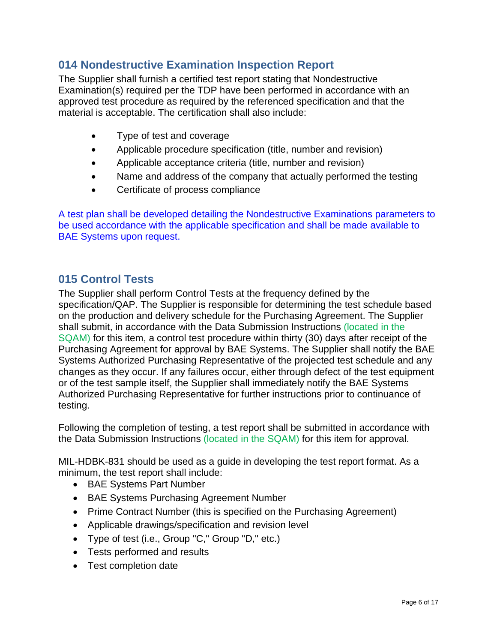## **014 Nondestructive Examination Inspection Report**

The Supplier shall furnish a certified test report stating that Nondestructive Examination(s) required per the TDP have been performed in accordance with an approved test procedure as required by the referenced specification and that the material is acceptable. The certification shall also include:

- Type of test and coverage
- Applicable procedure specification (title, number and revision)
- Applicable acceptance criteria (title, number and revision)
- Name and address of the company that actually performed the testing
- Certificate of process compliance

A test plan shall be developed detailing the Nondestructive Examinations parameters to be used accordance with the applicable specification and shall be made available to BAE Systems upon request.

## **015 Control Tests**

The Supplier shall perform Control Tests at the frequency defined by the specification/QAP. The Supplier is responsible for determining the test schedule based on the production and delivery schedule for the Purchasing Agreement. The Supplier shall submit, in accordance with the Data Submission Instructions (located in the SQAM) for this item, a control test procedure within thirty (30) days after receipt of the Purchasing Agreement for approval by BAE Systems. The Supplier shall notify the BAE Systems Authorized Purchasing Representative of the projected test schedule and any changes as they occur. If any failures occur, either through defect of the test equipment or of the test sample itself, the Supplier shall immediately notify the BAE Systems Authorized Purchasing Representative for further instructions prior to continuance of testing.

Following the completion of testing, a test report shall be submitted in accordance with the Data Submission Instructions (located in the SQAM) for this item for approval.

MIL-HDBK-831 should be used as a guide in developing the test report format. As a minimum, the test report shall include:

- BAE Systems Part Number
- BAE Systems Purchasing Agreement Number
- Prime Contract Number (this is specified on the Purchasing Agreement)
- Applicable drawings/specification and revision level
- Type of test (i.e., Group "C," Group "D," etc.)
- Tests performed and results
- Test completion date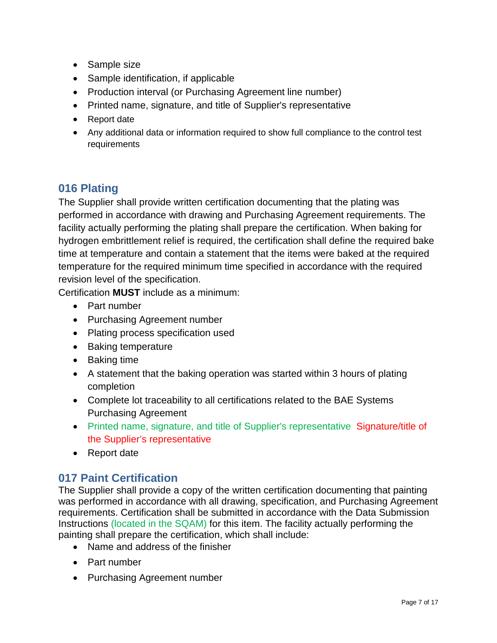- Sample size
- Sample identification, if applicable
- Production interval (or Purchasing Agreement line number)
- Printed name, signature, and title of Supplier's representative
- Report date
- Any additional data or information required to show full compliance to the control test requirements

## **016 Plating**

The Supplier shall provide written certification documenting that the plating was performed in accordance with drawing and Purchasing Agreement requirements. The facility actually performing the plating shall prepare the certification. When baking for hydrogen embrittlement relief is required, the certification shall define the required bake time at temperature and contain a statement that the items were baked at the required temperature for the required minimum time specified in accordance with the required revision level of the specification.

Certification **MUST** include as a minimum:

- Part number
- Purchasing Agreement number
- Plating process specification used
- Baking temperature
- Baking time
- A statement that the baking operation was started within 3 hours of plating completion
- Complete lot traceability to all certifications related to the BAE Systems Purchasing Agreement
- Printed name, signature, and title of Supplier's representative Signature/title of the Supplier's representative
- Report date

## **017 Paint Certification**

The Supplier shall provide a copy of the written certification documenting that painting was performed in accordance with all drawing, specification, and Purchasing Agreement requirements. Certification shall be submitted in accordance with the Data Submission Instructions (located in the SQAM) for this item. The facility actually performing the painting shall prepare the certification, which shall include:

- Name and address of the finisher
- Part number
- Purchasing Agreement number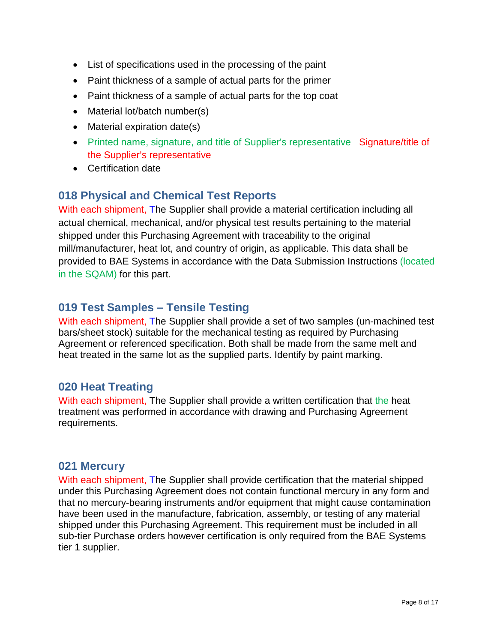- List of specifications used in the processing of the paint
- Paint thickness of a sample of actual parts for the primer
- Paint thickness of a sample of actual parts for the top coat
- Material lot/batch number(s)
- Material expiration date(s)
- Printed name, signature, and title of Supplier's representative Signature/title of the Supplier's representative
- Certification date

## **018 Physical and Chemical Test Reports**

With each shipment, The Supplier shall provide a material certification including all actual chemical, mechanical, and/or physical test results pertaining to the material shipped under this Purchasing Agreement with traceability to the original mill/manufacturer, heat lot, and country of origin, as applicable. This data shall be provided to BAE Systems in accordance with the Data Submission Instructions (located in the SQAM) for this part.

## **019 Test Samples – Tensile Testing**

With each shipment, The Supplier shall provide a set of two samples (un-machined test bars/sheet stock) suitable for the mechanical testing as required by Purchasing Agreement or referenced specification. Both shall be made from the same melt and heat treated in the same lot as the supplied parts. Identify by paint marking.

## **020 Heat Treating**

With each shipment, The Supplier shall provide a written certification that the heat treatment was performed in accordance with drawing and Purchasing Agreement requirements.

### **021 Mercury**

With each shipment, The Supplier shall provide certification that the material shipped under this Purchasing Agreement does not contain functional mercury in any form and that no mercury-bearing instruments and/or equipment that might cause contamination have been used in the manufacture, fabrication, assembly, or testing of any material shipped under this Purchasing Agreement. This requirement must be included in all sub-tier Purchase orders however certification is only required from the BAE Systems tier 1 supplier.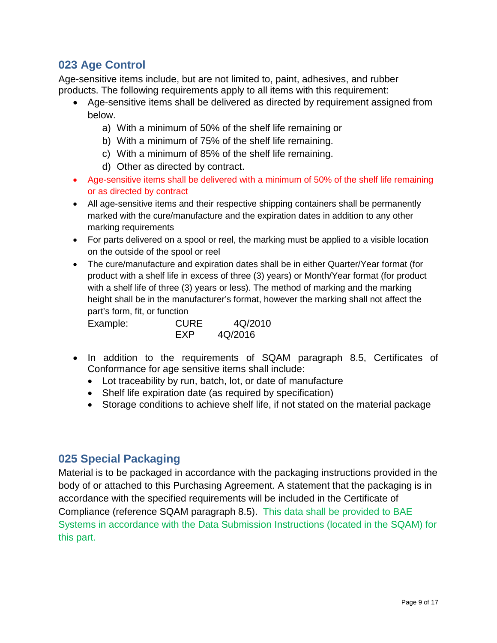## **023 Age Control**

Age-sensitive items include, but are not limited to, paint, adhesives, and rubber products. The following requirements apply to all items with this requirement:

- Age-sensitive items shall be delivered as directed by requirement assigned from below.
	- a) With a minimum of 50% of the shelf life remaining or
	- b) With a minimum of 75% of the shelf life remaining.
	- c) With a minimum of 85% of the shelf life remaining.
	- d) Other as directed by contract.
- Age-sensitive items shall be delivered with a minimum of 50% of the shelf life remaining or as directed by contract
- All age-sensitive items and their respective shipping containers shall be permanently marked with the cure/manufacture and the expiration dates in addition to any other marking requirements
- For parts delivered on a spool or reel, the marking must be applied to a visible location on the outside of the spool or reel
- The cure/manufacture and expiration dates shall be in either Quarter/Year format (for product with a shelf life in excess of three (3) years) or Month/Year format (for product with a shelf life of three (3) years or less). The method of marking and the marking height shall be in the manufacturer's format, however the marking shall not affect the part's form, fit, or function

| Example: | <b>CURE</b> | 4Q/2010 |
|----------|-------------|---------|
|          | FXP         | 4Q/2016 |

- In addition to the requirements of SQAM paragraph 8.5, Certificates of Conformance for age sensitive items shall include:
	- Lot traceability by run, batch, lot, or date of manufacture
	- Shelf life expiration date (as required by specification)
	- Storage conditions to achieve shelf life, if not stated on the material package

## **025 Special Packaging**

Material is to be packaged in accordance with the packaging instructions provided in the body of or attached to this Purchasing Agreement. A statement that the packaging is in accordance with the specified requirements will be included in the Certificate of Compliance (reference SQAM paragraph 8.5). This data shall be provided to BAE Systems in accordance with the Data Submission Instructions (located in the SQAM) for this part.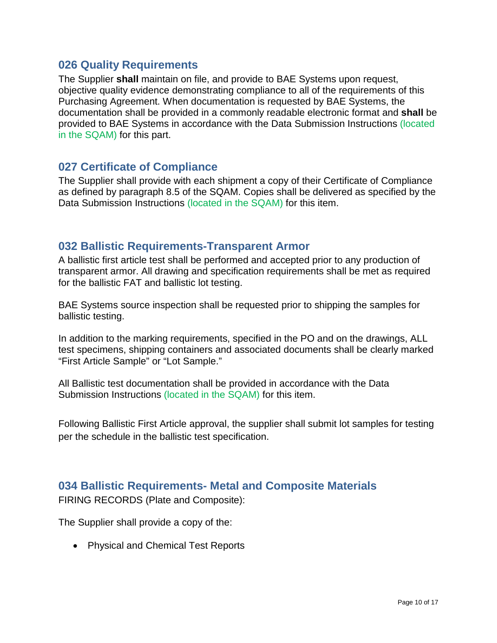## **026 Quality Requirements**

The Supplier **shall** maintain on file, and provide to BAE Systems upon request, objective quality evidence demonstrating compliance to all of the requirements of this Purchasing Agreement. When documentation is requested by BAE Systems, the documentation shall be provided in a commonly readable electronic format and **shall** be provided to BAE Systems in accordance with the Data Submission Instructions (located in the SQAM) for this part.

## **027 Certificate of Compliance**

The Supplier shall provide with each shipment a copy of their Certificate of Compliance as defined by paragraph 8.5 of the SQAM. Copies shall be delivered as specified by the Data Submission Instructions (located in the SQAM) for this item.

## **032 Ballistic Requirements-Transparent Armor**

A ballistic first article test shall be performed and accepted prior to any production of transparent armor. All drawing and specification requirements shall be met as required for the ballistic FAT and ballistic lot testing.

BAE Systems source inspection shall be requested prior to shipping the samples for ballistic testing.

In addition to the marking requirements, specified in the PO and on the drawings, ALL test specimens, shipping containers and associated documents shall be clearly marked "First Article Sample" or "Lot Sample."

All Ballistic test documentation shall be provided in accordance with the Data Submission Instructions (located in the SQAM) for this item.

Following Ballistic First Article approval, the supplier shall submit lot samples for testing per the schedule in the ballistic test specification.

## **034 Ballistic Requirements- Metal and Composite Materials**

FIRING RECORDS (Plate and Composite):

The Supplier shall provide a copy of the:

• Physical and Chemical Test Reports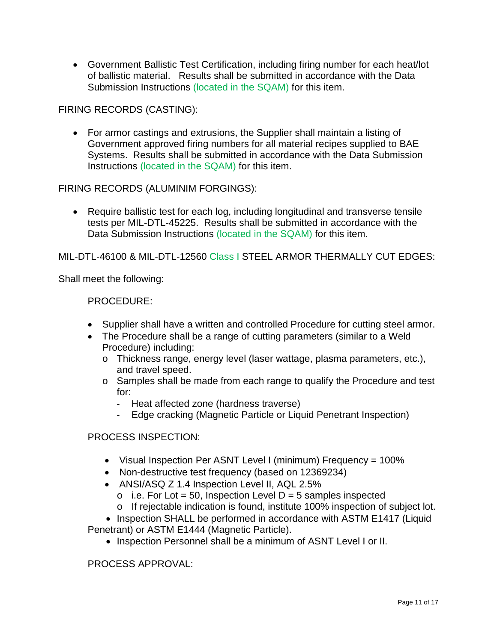• Government Ballistic Test Certification, including firing number for each heat/lot of ballistic material. Results shall be submitted in accordance with the Data Submission Instructions (located in the SQAM) for this item.

FIRING RECORDS (CASTING):

• For armor castings and extrusions, the Supplier shall maintain a listing of Government approved firing numbers for all material recipes supplied to BAE Systems. Results shall be submitted in accordance with the Data Submission Instructions (located in the SQAM) for this item.

FIRING RECORDS (ALUMINIM FORGINGS):

• Require ballistic test for each log, including longitudinal and transverse tensile tests per MIL-DTL-45225. Results shall be submitted in accordance with the Data Submission Instructions (located in the SQAM) for this item.

MIL-DTL-46100 & MIL-DTL-12560 Class I STEEL ARMOR THERMALLY CUT EDGES:

Shall meet the following:

PROCEDURE:

- Supplier shall have a written and controlled Procedure for cutting steel armor.
- The Procedure shall be a range of cutting parameters (similar to a Weld Procedure) including:
	- o Thickness range, energy level (laser wattage, plasma parameters, etc.), and travel speed.
	- o Samples shall be made from each range to qualify the Procedure and test for:
		- Heat affected zone (hardness traverse)
		- Edge cracking (Magnetic Particle or Liquid Penetrant Inspection)

#### PROCESS INSPECTION:

- Visual Inspection Per ASNT Level I (minimum) Frequency = 100%
- Non-destructive test frequency (based on 12369234)
- ANSI/ASQ Z 1.4 Inspection Level II, AQL 2.5%
	- $\circ$  i.e. For Lot = 50, Inspection Level D = 5 samples inspected
	- o If rejectable indication is found, institute 100% inspection of subject lot.

• Inspection SHALL be performed in accordance with ASTM E1417 (Liquid Penetrant) or ASTM E1444 (Magnetic Particle).

• Inspection Personnel shall be a minimum of ASNT Level I or II.

PROCESS APPROVAL: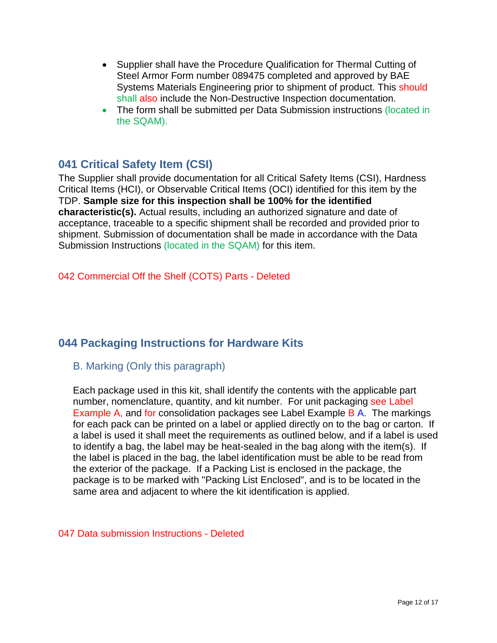- Supplier shall have the Procedure Qualification for Thermal Cutting of Steel Armor Form number 089475 completed and approved by BAE Systems Materials Engineering prior to shipment of product. This should shall also include the Non-Destructive Inspection documentation.
- The form shall be submitted per Data Submission instructions (located in the SQAM).

# **041 Critical Safety Item (CSI)**

The Supplier shall provide documentation for all Critical Safety Items (CSI), Hardness Critical Items (HCI), or Observable Critical Items (OCI) identified for this item by the TDP. **Sample size for this inspection shall be 100% for the identified characteristic(s).** Actual results, including an authorized signature and date of acceptance, traceable to a specific shipment shall be recorded and provided prior to shipment. Submission of documentation shall be made in accordance with the Data Submission Instructions (located in the SQAM) for this item.

#### 042 Commercial Off the Shelf (COTS) Parts - Deleted

## **044 Packaging Instructions for Hardware Kits**

#### B. Marking (Only this paragraph)

Each package used in this kit, shall identify the contents with the applicable part number, nomenclature, quantity, and kit number. For unit packaging see Label Example A, and for consolidation packages see Label Example B A. The markings for each pack can be printed on a label or applied directly on to the bag or carton. If a label is used it shall meet the requirements as outlined below, and if a label is used to identify a bag, the label may be heat-sealed in the bag along with the item(s). If the label is placed in the bag, the label identification must be able to be read from the exterior of the package. If a Packing List is enclosed in the package, the package is to be marked with "Packing List Enclosed", and is to be located in the same area and adjacent to where the kit identification is applied.

#### 047 Data submission Instructions - Deleted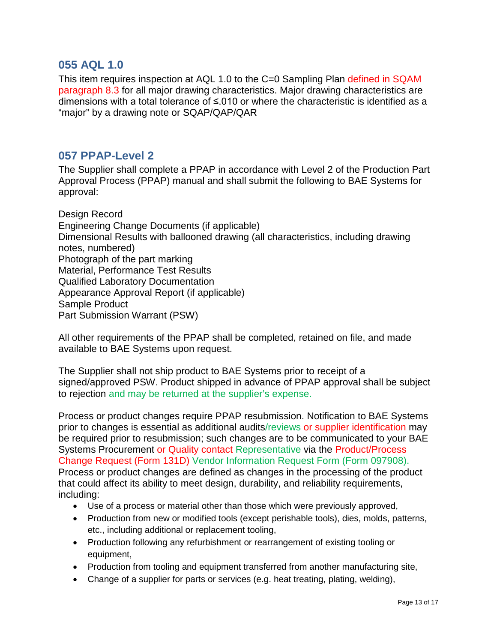### **055 AQL 1.0**

This item requires inspection at AQL 1.0 to the C=0 Sampling Plan defined in SQAM paragraph 8.3 for all major drawing characteristics. Major drawing characteristics are dimensions with a total tolerance of ≤.010 or where the characteristic is identified as a "major" by a drawing note or SQAP/QAP/QAR

#### **057 PPAP-Level 2**

The Supplier shall complete a PPAP in accordance with Level 2 of the Production Part Approval Process (PPAP) manual and shall submit the following to BAE Systems for approval:

Design Record Engineering Change Documents (if applicable) Dimensional Results with ballooned drawing (all characteristics, including drawing notes, numbered) Photograph of the part marking Material, Performance Test Results Qualified Laboratory Documentation Appearance Approval Report (if applicable) Sample Product Part Submission Warrant (PSW)

All other requirements of the PPAP shall be completed, retained on file, and made available to BAE Systems upon request.

The Supplier shall not ship product to BAE Systems prior to receipt of a signed/approved PSW. Product shipped in advance of PPAP approval shall be subject to rejection and may be returned at the supplier's expense.

Process or product changes require PPAP resubmission. Notification to BAE Systems prior to changes is essential as additional audits/reviews or supplier identification may be required prior to resubmission; such changes are to be communicated to your BAE Systems Procurement or Quality contact Representative via the Product/Process Change Request (Form 131D) Vendor Information Request Form (Form 097908). Process or product changes are defined as changes in the processing of the product that could affect its ability to meet design, durability, and reliability requirements, including:

- Use of a process or material other than those which were previously approved,
- Production from new or modified tools (except perishable tools), dies, molds, patterns, etc., including additional or replacement tooling,
- Production following any refurbishment or rearrangement of existing tooling or equipment,
- Production from tooling and equipment transferred from another manufacturing site,
- Change of a supplier for parts or services (e.g. heat treating, plating, welding),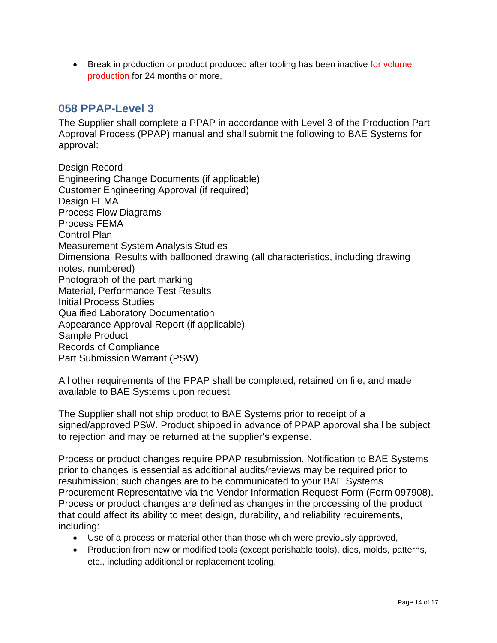• Break in production or product produced after tooling has been inactive for volume production for 24 months or more,

## **058 PPAP-Level 3**

The Supplier shall complete a PPAP in accordance with Level 3 of the Production Part Approval Process (PPAP) manual and shall submit the following to BAE Systems for approval:

Design Record Engineering Change Documents (if applicable) Customer Engineering Approval (if required) Design FEMA Process Flow Diagrams Process FEMA Control Plan Measurement System Analysis Studies Dimensional Results with ballooned drawing (all characteristics, including drawing notes, numbered) Photograph of the part marking Material, Performance Test Results Initial Process Studies Qualified Laboratory Documentation Appearance Approval Report (if applicable) Sample Product Records of Compliance Part Submission Warrant (PSW)

All other requirements of the PPAP shall be completed, retained on file, and made available to BAE Systems upon request.

The Supplier shall not ship product to BAE Systems prior to receipt of a signed/approved PSW. Product shipped in advance of PPAP approval shall be subject to rejection and may be returned at the supplier's expense.

Process or product changes require PPAP resubmission. Notification to BAE Systems prior to changes is essential as additional audits/reviews may be required prior to resubmission; such changes are to be communicated to your BAE Systems Procurement Representative via the Vendor Information Request Form (Form 097908). Process or product changes are defined as changes in the processing of the product that could affect its ability to meet design, durability, and reliability requirements, including:

- Use of a process or material other than those which were previously approved,
- Production from new or modified tools (except perishable tools), dies, molds, patterns, etc., including additional or replacement tooling,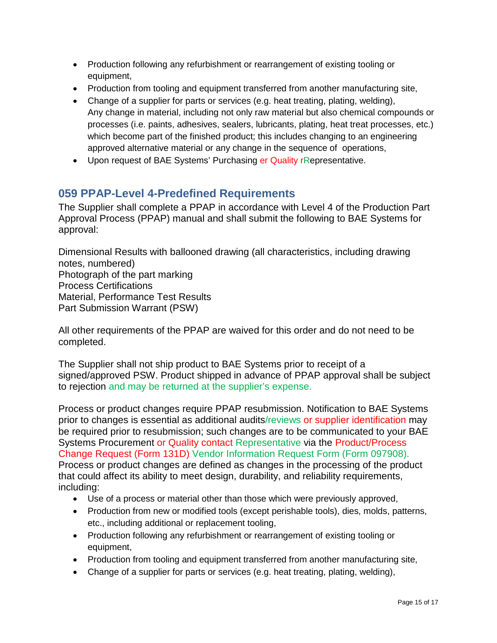- Production following any refurbishment or rearrangement of existing tooling or equipment,
- Production from tooling and equipment transferred from another manufacturing site,
- Change of a supplier for parts or services (e.g. heat treating, plating, welding), Any change in material, including not only raw material but also chemical compounds or processes (i.e. paints, adhesives, sealers, lubricants, plating, heat treat processes, etc.) which become part of the finished product; this includes changing to an engineering approved alternative material or any change in the sequence of operations,
- Upon request of BAE Systems' Purchasing er Quality rRepresentative.

# **059 PPAP-Level 4-Predefined Requirements**

The Supplier shall complete a PPAP in accordance with Level 4 of the Production Part Approval Process (PPAP) manual and shall submit the following to BAE Systems for approval:

Dimensional Results with ballooned drawing (all characteristics, including drawing notes, numbered) Photograph of the part marking Process Certifications Material, Performance Test Results Part Submission Warrant (PSW)

All other requirements of the PPAP are waived for this order and do not need to be completed.

The Supplier shall not ship product to BAE Systems prior to receipt of a signed/approved PSW. Product shipped in advance of PPAP approval shall be subject to rejection and may be returned at the supplier's expense.

Process or product changes require PPAP resubmission. Notification to BAE Systems prior to changes is essential as additional audits/reviews or supplier identification may be required prior to resubmission; such changes are to be communicated to your BAE Systems Procurement or Quality contact Representative via the Product/Process Change Request (Form 131D) Vendor Information Request Form (Form 097908). Process or product changes are defined as changes in the processing of the product that could affect its ability to meet design, durability, and reliability requirements, including:

- Use of a process or material other than those which were previously approved,
- Production from new or modified tools (except perishable tools), dies, molds, patterns, etc., including additional or replacement tooling,
- Production following any refurbishment or rearrangement of existing tooling or equipment,
- Production from tooling and equipment transferred from another manufacturing site,
- Change of a supplier for parts or services (e.g. heat treating, plating, welding),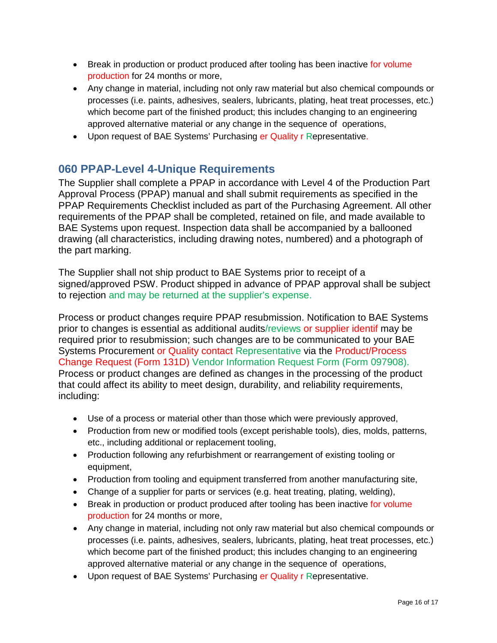- Break in production or product produced after tooling has been inactive for volume production for 24 months or more,
- Any change in material, including not only raw material but also chemical compounds or processes (i.e. paints, adhesives, sealers, lubricants, plating, heat treat processes, etc.) which become part of the finished product; this includes changing to an engineering approved alternative material or any change in the sequence of operations,
- Upon request of BAE Systems' Purchasing er Quality r Representative.

# **060 PPAP-Level 4-Unique Requirements**

The Supplier shall complete a PPAP in accordance with Level 4 of the Production Part Approval Process (PPAP) manual and shall submit requirements as specified in the PPAP Requirements Checklist included as part of the Purchasing Agreement. All other requirements of the PPAP shall be completed, retained on file, and made available to BAE Systems upon request. Inspection data shall be accompanied by a ballooned drawing (all characteristics, including drawing notes, numbered) and a photograph of the part marking.

The Supplier shall not ship product to BAE Systems prior to receipt of a signed/approved PSW. Product shipped in advance of PPAP approval shall be subject to rejection and may be returned at the supplier's expense.

Process or product changes require PPAP resubmission. Notification to BAE Systems prior to changes is essential as additional audits/reviews or supplier identif may be required prior to resubmission; such changes are to be communicated to your BAE Systems Procurement or Quality contact Representative via the Product/Process Change Request (Form 131D) Vendor Information Request Form (Form 097908). Process or product changes are defined as changes in the processing of the product that could affect its ability to meet design, durability, and reliability requirements, including:

- Use of a process or material other than those which were previously approved,
- Production from new or modified tools (except perishable tools), dies, molds, patterns, etc., including additional or replacement tooling,
- Production following any refurbishment or rearrangement of existing tooling or equipment,
- Production from tooling and equipment transferred from another manufacturing site,
- Change of a supplier for parts or services (e.g. heat treating, plating, welding),
- Break in production or product produced after tooling has been inactive for volume production for 24 months or more,
- Any change in material, including not only raw material but also chemical compounds or processes (i.e. paints, adhesives, sealers, lubricants, plating, heat treat processes, etc.) which become part of the finished product; this includes changing to an engineering approved alternative material or any change in the sequence of operations,
- Upon request of BAE Systems' Purchasing er Quality r Representative.